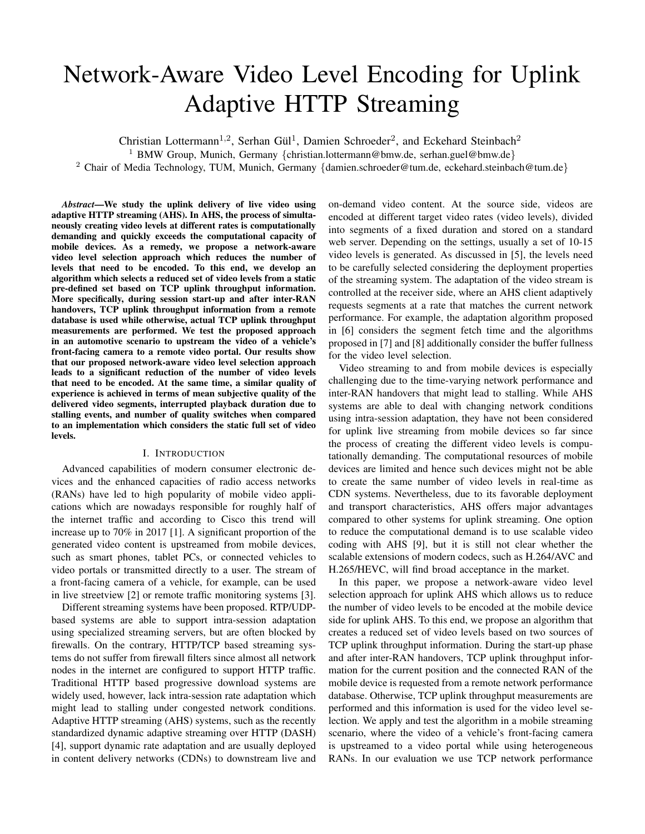# Network-Aware Video Level Encoding for Uplink Adaptive HTTP Streaming

Christian Lottermann<sup>1,2</sup>, Serhan Gül<sup>1</sup>, Damien Schroeder<sup>2</sup>, and Eckehard Steinbach<sup>2</sup>

<sup>1</sup> BMW Group, Munich, Germany {christian.lottermann@bmw.de, serhan.guel@bmw.de}

<sup>2</sup> Chair of Media Technology, TUM, Munich, Germany {damien.schroeder@tum.de, eckehard.steinbach@tum.de}

*Abstract*—We study the uplink delivery of live video using adaptive HTTP streaming (AHS). In AHS, the process of simultaneously creating video levels at different rates is computationally demanding and quickly exceeds the computational capacity of mobile devices. As a remedy, we propose a network-aware video level selection approach which reduces the number of levels that need to be encoded. To this end, we develop an algorithm which selects a reduced set of video levels from a static pre-defined set based on TCP uplink throughput information. More specifically, during session start-up and after inter-RAN handovers, TCP uplink throughput information from a remote database is used while otherwise, actual TCP uplink throughput measurements are performed. We test the proposed approach in an automotive scenario to upstream the video of a vehicle's front-facing camera to a remote video portal. Our results show that our proposed network-aware video level selection approach leads to a significant reduction of the number of video levels that need to be encoded. At the same time, a similar quality of experience is achieved in terms of mean subjective quality of the delivered video segments, interrupted playback duration due to stalling events, and number of quality switches when compared to an implementation which considers the static full set of video levels.

## I. INTRODUCTION

Advanced capabilities of modern consumer electronic devices and the enhanced capacities of radio access networks (RANs) have led to high popularity of mobile video applications which are nowadays responsible for roughly half of the internet traffic and according to Cisco this trend will increase up to 70% in 2017 [1]. A significant proportion of the generated video content is upstreamed from mobile devices, such as smart phones, tablet PCs, or connected vehicles to video portals or transmitted directly to a user. The stream of a front-facing camera of a vehicle, for example, can be used in live streetview [2] or remote traffic monitoring systems [3].

Different streaming systems have been proposed. RTP/UDPbased systems are able to support intra-session adaptation using specialized streaming servers, but are often blocked by firewalls. On the contrary, HTTP/TCP based streaming systems do not suffer from firewall filters since almost all network nodes in the internet are configured to support HTTP traffic. Traditional HTTP based progressive download systems are widely used, however, lack intra-session rate adaptation which might lead to stalling under congested network conditions. Adaptive HTTP streaming (AHS) systems, such as the recently standardized dynamic adaptive streaming over HTTP (DASH) [4], support dynamic rate adaptation and are usually deployed in content delivery networks (CDNs) to downstream live and on-demand video content. At the source side, videos are encoded at different target video rates (video levels), divided into segments of a fixed duration and stored on a standard web server. Depending on the settings, usually a set of 10-15 video levels is generated. As discussed in [5], the levels need to be carefully selected considering the deployment properties of the streaming system. The adaptation of the video stream is controlled at the receiver side, where an AHS client adaptively requests segments at a rate that matches the current network performance. For example, the adaptation algorithm proposed in [6] considers the segment fetch time and the algorithms proposed in [7] and [8] additionally consider the buffer fullness for the video level selection.

Video streaming to and from mobile devices is especially challenging due to the time-varying network performance and inter-RAN handovers that might lead to stalling. While AHS systems are able to deal with changing network conditions using intra-session adaptation, they have not been considered for uplink live streaming from mobile devices so far since the process of creating the different video levels is computationally demanding. The computational resources of mobile devices are limited and hence such devices might not be able to create the same number of video levels in real-time as CDN systems. Nevertheless, due to its favorable deployment and transport characteristics, AHS offers major advantages compared to other systems for uplink streaming. One option to reduce the computational demand is to use scalable video coding with AHS [9], but it is still not clear whether the scalable extensions of modern codecs, such as H.264/AVC and H.265/HEVC, will find broad acceptance in the market.

In this paper, we propose a network-aware video level selection approach for uplink AHS which allows us to reduce the number of video levels to be encoded at the mobile device side for uplink AHS. To this end, we propose an algorithm that creates a reduced set of video levels based on two sources of TCP uplink throughput information. During the start-up phase and after inter-RAN handovers, TCP uplink throughput information for the current position and the connected RAN of the mobile device is requested from a remote network performance database. Otherwise, TCP uplink throughput measurements are performed and this information is used for the video level selection. We apply and test the algorithm in a mobile streaming scenario, where the video of a vehicle's front-facing camera is upstreamed to a video portal while using heterogeneous RANs. In our evaluation we use TCP network performance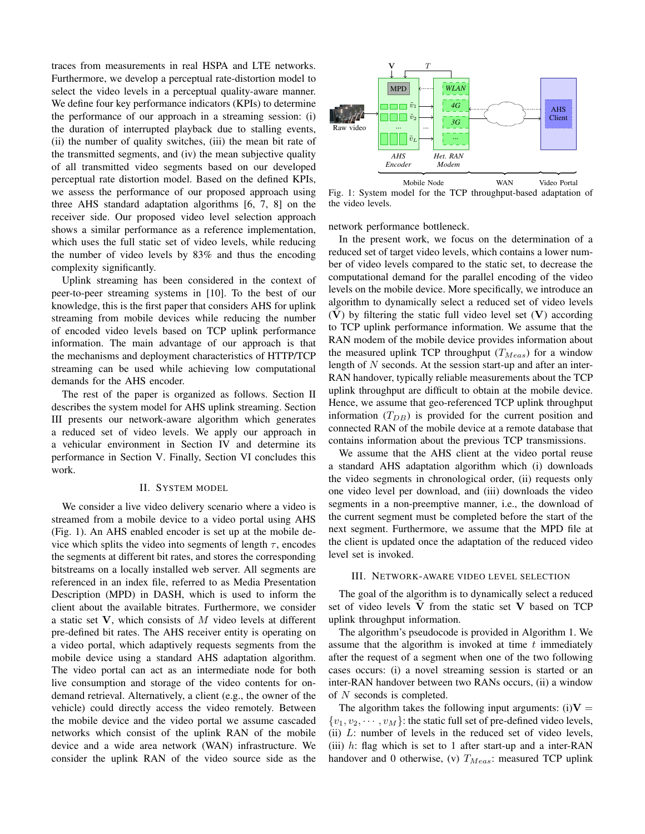traces from measurements in real HSPA and LTE networks. Furthermore, we develop a perceptual rate-distortion model to select the video levels in a perceptual quality-aware manner. We define four key performance indicators (KPIs) to determine the performance of our approach in a streaming session: (i) the duration of interrupted playback due to stalling events, (ii) the number of quality switches, (iii) the mean bit rate of the transmitted segments, and (iv) the mean subjective quality of all transmitted video segments based on our developed perceptual rate distortion model. Based on the defined KPIs, we assess the performance of our proposed approach using three AHS standard adaptation algorithms [6, 7, 8] on the receiver side. Our proposed video level selection approach shows a similar performance as a reference implementation, which uses the full static set of video levels, while reducing the number of video levels by 83% and thus the encoding complexity significantly.

Uplink streaming has been considered in the context of peer-to-peer streaming systems in [10]. To the best of our knowledge, this is the first paper that considers AHS for uplink streaming from mobile devices while reducing the number of encoded video levels based on TCP uplink performance information. The main advantage of our approach is that the mechanisms and deployment characteristics of HTTP/TCP streaming can be used while achieving low computational demands for the AHS encoder.

The rest of the paper is organized as follows. Section II describes the system model for AHS uplink streaming. Section III presents our network-aware algorithm which generates a reduced set of video levels. We apply our approach in a vehicular environment in Section IV and determine its performance in Section V. Finally, Section VI concludes this work.

### II. SYSTEM MODEL

We consider a live video delivery scenario where a video is streamed from a mobile device to a video portal using AHS (Fig. 1). An AHS enabled encoder is set up at the mobile device which splits the video into segments of length  $\tau$ , encodes the segments at different bit rates, and stores the corresponding bitstreams on a locally installed web server. All segments are referenced in an index file, referred to as Media Presentation Description (MPD) in DASH, which is used to inform the client about the available bitrates. Furthermore, we consider a static set  $V$ , which consists of  $M$  video levels at different pre-defined bit rates. The AHS receiver entity is operating on a video portal, which adaptively requests segments from the mobile device using a standard AHS adaptation algorithm. The video portal can act as an intermediate node for both live consumption and storage of the video contents for ondemand retrieval. Alternatively, a client (e.g., the owner of the vehicle) could directly access the video remotely. Between the mobile device and the video portal we assume cascaded networks which consist of the uplink RAN of the mobile device and a wide area network (WAN) infrastructure. We consider the uplink RAN of the video source side as the



Fig. 1: System model for the TCP throughput-based adaptation of the video levels.

network performance bottleneck.

In the present work, we focus on the determination of a reduced set of target video levels, which contains a lower number of video levels compared to the static set, to decrease the computational demand for the parallel encoding of the video levels on the mobile device. More specifically, we introduce an algorithm to dynamically select a reduced set of video levels (V) by filtering the static full video level set  $(V)$  according to TCP uplink performance information. We assume that the RAN modem of the mobile device provides information about the measured uplink TCP throughput  $(T_{Meas})$  for a window length of  $N$  seconds. At the session start-up and after an inter-RAN handover, typically reliable measurements about the TCP uplink throughput are difficult to obtain at the mobile device. Hence, we assume that geo-referenced TCP uplink throughput information  $(T_{DB})$  is provided for the current position and connected RAN of the mobile device at a remote database that contains information about the previous TCP transmissions.

We assume that the AHS client at the video portal reuse a standard AHS adaptation algorithm which (i) downloads the video segments in chronological order, (ii) requests only one video level per download, and (iii) downloads the video segments in a non-preemptive manner, i.e., the download of the current segment must be completed before the start of the next segment. Furthermore, we assume that the MPD file at the client is updated once the adaptation of the reduced video level set is invoked.

#### III. NETWORK-AWARE VIDEO LEVEL SELECTION

The goal of the algorithm is to dynamically select a reduced set of video levels  $V$  from the static set  $V$  based on TCP uplink throughput information.

The algorithm's pseudocode is provided in Algorithm 1. We assume that the algorithm is invoked at time  $t$  immediately after the request of a segment when one of the two following cases occurs: (i) a novel streaming session is started or an inter-RAN handover between two RANs occurs, (ii) a window of  $N$  seconds is completed.

The algorithm takes the following input arguments: (i)  $V =$  $\{v_1, v_2, \cdots, v_M\}$ : the static full set of pre-defined video levels, (ii)  $L$ : number of levels in the reduced set of video levels, (iii)  $h$ : flag which is set to 1 after start-up and a inter-RAN handover and 0 otherwise, (v)  $T_{Meas}$ : measured TCP uplink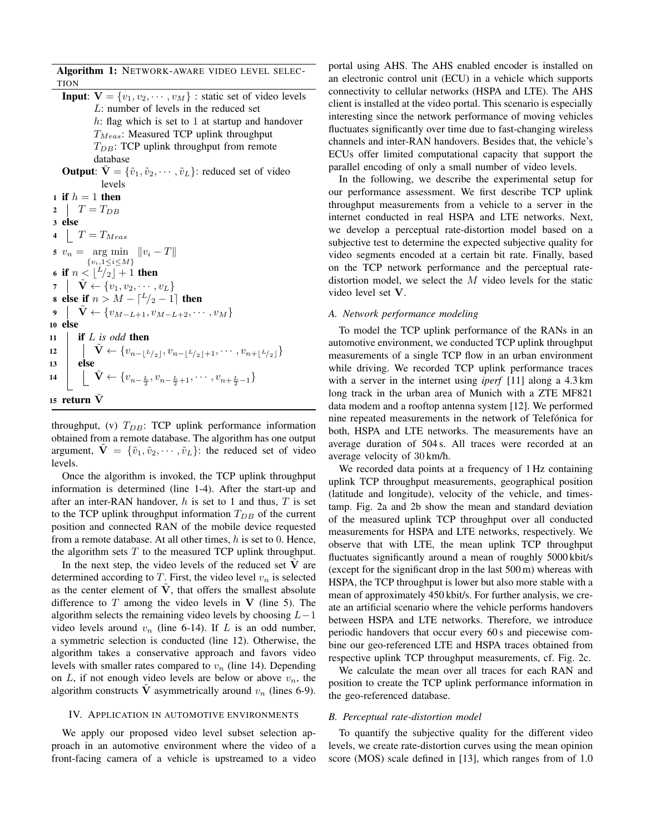Algorithm 1: NETWORK-AWARE VIDEO LEVEL SELEC-TION **Input:**  $V = \{v_1, v_2, \dots, v_M\}$ : static set of video levels L: number of levels in the reduced set  $h$ : flag which is set to 1 at startup and handover  $T_{Meas}$ : Measured TCP uplink throughput  $T_{DB}$ : TCP uplink throughput from remote database **Output:**  $V = {\tilde{v}_1, \tilde{v}_2, \cdots, \tilde{v}_L}$ : reduced set of video levels 1 if  $h = 1$  then 2  $T = T_{DB}$ 3 else 4 |  $T = T_{Meas}$  $s \ v_n = \argmin_{\{v_i, 1 \le i \le M\}} \|v_i - T\|$ 6 if  $n < \lfloor \frac{L}{2} \rfloor + 1$  then 7  $\mathbf{\bar{V}} \leftarrow \{v_1, v_2, \cdots, v_L\}$ 8 else if  $n > M - \lceil \frac{L}{2} - 1 \rceil$  then 9  $\big| \tilde{\mathbf{V}} \leftarrow \{ v_{M-L+1}, v_{M-L+2}, \cdots, v_M \}$ 10 else <sup>11</sup> if L *is odd* then 12  $\begin{bmatrix} \tilde{\mathbf{V}} \leftarrow \{v_{n-\lfloor L/2 \rfloor}, v_{n-\lfloor L/2 \rfloor+1}, \cdots, v_{n+\lfloor L/2 \rfloor} \} \end{bmatrix}$  $13$ 14  $\begin{bmatrix} \tilde{\mathbf{V}} \leftarrow \{v_{n-\frac{L}{2}}, v_{n-\frac{L}{2}+1}, \cdots, v_{n+\frac{L}{2}-1}\} \end{bmatrix}$ 15 return  $\tilde{V}$ 

throughput, (v)  $T_{DB}$ : TCP uplink performance information obtained from a remote database. The algorithm has one output argument,  $\tilde{\mathbf{V}} = \{\tilde{v}_1, \tilde{v}_2, \cdots, \tilde{v}_L\}$ : the reduced set of video levels.

Once the algorithm is invoked, the TCP uplink throughput information is determined (line 1-4). After the start-up and after an inter-RAN handover,  $h$  is set to 1 and thus,  $T$  is set to the TCP uplink throughput information  $T_{DB}$  of the current position and connected RAN of the mobile device requested from a remote database. At all other times,  $h$  is set to 0. Hence, the algorithm sets  $T$  to the measured TCP uplink throughput.

In the next step, the video levels of the reduced set  $V$  are determined according to  $T$ . First, the video level  $v_n$  is selected as the center element of  $\tilde{V}$ , that offers the smallest absolute difference to  $T$  among the video levels in V (line 5). The algorithm selects the remaining video levels by choosing  $L-1$ video levels around  $v_n$  (line 6-14). If L is an odd number, a symmetric selection is conducted (line 12). Otherwise, the algorithm takes a conservative approach and favors video levels with smaller rates compared to  $v_n$  (line 14). Depending on L, if not enough video levels are below or above  $v_n$ , the algorithm constructs V asymmetrically around  $v_n$  (lines 6-9).

## IV. APPLICATION IN AUTOMOTIVE ENVIRONMENTS

We apply our proposed video level subset selection approach in an automotive environment where the video of a front-facing camera of a vehicle is upstreamed to a video

portal using AHS. The AHS enabled encoder is installed on an electronic control unit (ECU) in a vehicle which supports connectivity to cellular networks (HSPA and LTE). The AHS client is installed at the video portal. This scenario is especially interesting since the network performance of moving vehicles fluctuates significantly over time due to fast-changing wireless channels and inter-RAN handovers. Besides that, the vehicle's ECUs offer limited computational capacity that support the parallel encoding of only a small number of video levels.

In the following, we describe the experimental setup for our performance assessment. We first describe TCP uplink throughput measurements from a vehicle to a server in the internet conducted in real HSPA and LTE networks. Next, we develop a perceptual rate-distortion model based on a subjective test to determine the expected subjective quality for video segments encoded at a certain bit rate. Finally, based on the TCP network performance and the perceptual ratedistortion model, we select the  $M$  video levels for the static video level set V.

## *A. Network performance modeling*

To model the TCP uplink performance of the RANs in an automotive environment, we conducted TCP uplink throughput measurements of a single TCP flow in an urban environment while driving. We recorded TCP uplink performance traces with a server in the internet using *iperf* [11] along a 4.3 km long track in the urban area of Munich with a ZTE MF821 data modem and a rooftop antenna system [12]. We performed nine repeated measurements in the network of Telefonica for ´ both, HSPA and LTE networks. The measurements have an average duration of 504 s. All traces were recorded at an average velocity of 30 km/h.

We recorded data points at a frequency of 1 Hz containing uplink TCP throughput measurements, geographical position (latitude and longitude), velocity of the vehicle, and timestamp. Fig. 2a and 2b show the mean and standard deviation of the measured uplink TCP throughput over all conducted measurements for HSPA and LTE networks, respectively. We observe that with LTE, the mean uplink TCP throughput fluctuates significantly around a mean of roughly 5000 kbit/s (except for the significant drop in the last 500 m) whereas with HSPA, the TCP throughput is lower but also more stable with a mean of approximately 450 kbit/s. For further analysis, we create an artificial scenario where the vehicle performs handovers between HSPA and LTE networks. Therefore, we introduce periodic handovers that occur every 60 s and piecewise combine our geo-referenced LTE and HSPA traces obtained from respective uplink TCP throughput measurements, cf. Fig. 2c.

We calculate the mean over all traces for each RAN and position to create the TCP uplink performance information in the geo-referenced database.

#### *B. Perceptual rate-distortion model*

To quantify the subjective quality for the different video levels, we create rate-distortion curves using the mean opinion score (MOS) scale defined in [13], which ranges from of 1.0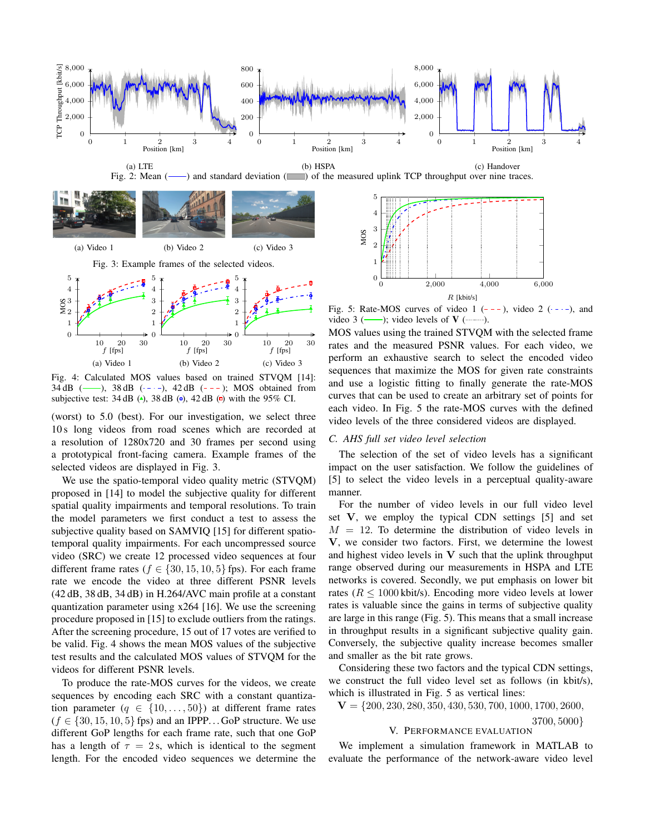



Fig. 4: Calculated MOS values based on trained STVQM [14]: 34 dB ( $\rightarrow$ ), 38 dB ( $\rightarrow$ - $\rightarrow$ ), 42 dB ( $\rightarrow$ - $\rightarrow$ ); MOS obtained from subjective test:  $34 \text{ dB}$  (A),  $38 \text{ dB}$  (o),  $42 \text{ dB}$  (a) with the 95% CI.

 $f$  [fps] (b) Video 2

 $f$  [fps] (c) Video 3

 $f$  [fps] (a) Video 1

(worst) to 5.0 (best). For our investigation, we select three 10 s long videos from road scenes which are recorded at a resolution of 1280x720 and 30 frames per second using a prototypical front-facing camera. Example frames of the selected videos are displayed in Fig. 3.

We use the spatio-temporal video quality metric (STVQM) proposed in [14] to model the subjective quality for different spatial quality impairments and temporal resolutions. To train the model parameters we first conduct a test to assess the subjective quality based on SAMVIQ [15] for different spatiotemporal quality impairments. For each uncompressed source video (SRC) we create 12 processed video sequences at four different frame rates ( $f \in \{30, 15, 10, 5\}$  fps). For each frame rate we encode the video at three different PSNR levels (42 dB, 38 dB, 34 dB) in H.264/AVC main profile at a constant quantization parameter using x264 [16]. We use the screening procedure proposed in [15] to exclude outliers from the ratings. After the screening procedure, 15 out of 17 votes are verified to be valid. Fig. 4 shows the mean MOS values of the subjective test results and the calculated MOS values of STVQM for the videos for different PSNR levels.

To produce the rate-MOS curves for the videos, we create sequences by encoding each SRC with a constant quantization parameter  $(q \in \{10, \ldots, 50\})$  at different frame rates  $(f \in \{30, 15, 10, 5\}$  fps) and an IPPP...GoP structure. We use different GoP lengths for each frame rate, such that one GoP has a length of  $\tau = 2$  s, which is identical to the segment length. For the encoded video sequences we determine the



Fig. 5: Rate-MOS curves of video 1  $(- - -)$ , video 2  $(- - -)$ , and video 3  $(-\)$ ; video levels of V  $(\cdots)$ .

MOS values using the trained STVQM with the selected frame rates and the measured PSNR values. For each video, we perform an exhaustive search to select the encoded video sequences that maximize the MOS for given rate constraints and use a logistic fitting to finally generate the rate-MOS curves that can be used to create an arbitrary set of points for each video. In Fig. 5 the rate-MOS curves with the defined video levels of the three considered videos are displayed.

## *C. AHS full set video level selection*

The selection of the set of video levels has a significant impact on the user satisfaction. We follow the guidelines of [5] to select the video levels in a perceptual quality-aware manner.

For the number of video levels in our full video level set V, we employ the typical CDN settings [5] and set  $M = 12$ . To determine the distribution of video levels in V, we consider two factors. First, we determine the lowest and highest video levels in  $V$  such that the uplink throughput range observed during our measurements in HSPA and LTE networks is covered. Secondly, we put emphasis on lower bit rates ( $R \le 1000$  kbit/s). Encoding more video levels at lower rates is valuable since the gains in terms of subjective quality are large in this range (Fig. 5). This means that a small increase in throughput results in a significant subjective quality gain. Conversely, the subjective quality increase becomes smaller and smaller as the bit rate grows.

Considering these two factors and the typical CDN settings, we construct the full video level set as follows (in kbit/s), which is illustrated in Fig. 5 as vertical lines:

 $V = \{200, 230, 280, 350, 430, 530, 700, 1000, 1700, 2600,$ 

3700, 5000}

## V. PERFORMANCE EVALUATION

We implement a simulation framework in MATLAB to evaluate the performance of the network-aware video level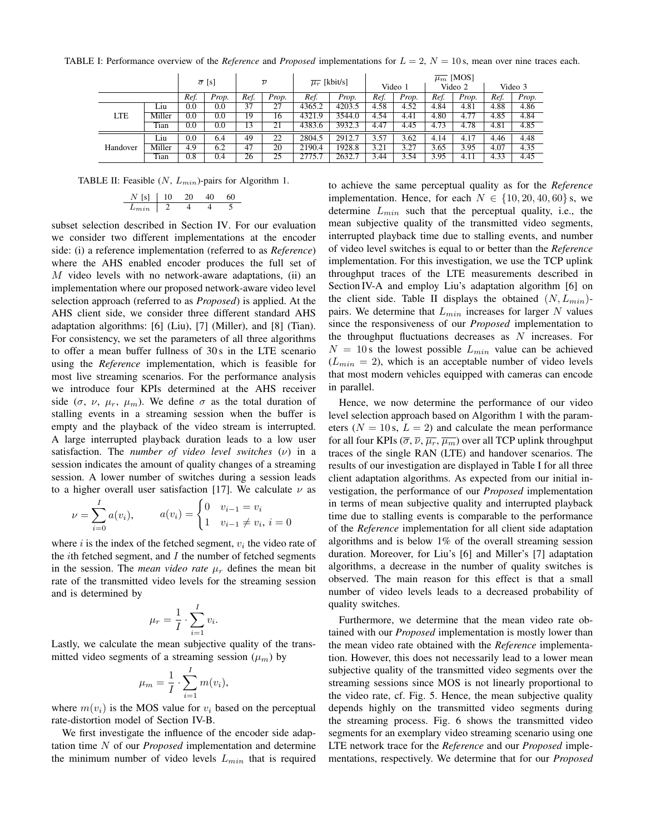|            |        | $\overline{\sigma}$ [s] |       | $\overline{\nu}$ |       | $\overline{\mu_r}$ [kbit/s] |        | $\overline{\mu_m}$ [MOS] |                   |         |       |         |       |
|------------|--------|-------------------------|-------|------------------|-------|-----------------------------|--------|--------------------------|-------------------|---------|-------|---------|-------|
|            |        |                         |       |                  |       |                             |        | Video 1                  |                   | Video 2 |       | Video 3 |       |
|            |        | Ref.                    | Prop. | Ref.             | Prop. | Ref.                        | Prop.  | Ref.                     | Prop.             | Ref.    | Prop. | Ref.    | Prop. |
| <b>LTE</b> | Liu    | 0.0                     | 0.0   | 37               | 27    | 4365.2                      | 4203.5 | 4.58                     | 4.52              | 4.84    | 4.81  | 4.88    | 4.86  |
|            | Miller | 0.0                     | 0.0   | 19               | 16    | 4321.9                      | 3544.0 | 4.54                     | $4.\overline{41}$ | 4.80    | 4.77  | 4.85    | 4.84  |
|            | Tian   | 0.0                     | 0.0   | 13               | 21    | 4383.6                      | 3932.3 | 4.47                     | 4.45              | 4.73    | 4.78  | 4.81    | 4.85  |
| Handover   | Liu    | 0.0                     | 6.4   | 49               | 22    | 2804.5                      | 2912.7 | 3.57                     | 3.62              | 4.14    | 4.17  | 4.46    | 4.48  |
|            | Miller | 4.9                     | 6.2   | 47               | 20    | 2190.4                      | 1928.8 | 3.21                     | 3.27              | 3.65    | 3.95  | 4.07    | 4.35  |
|            | Tian   | 0.8                     | 0.4   | 26               | 25    | 2775.7                      | 2632.7 | 3.44                     | 3.54              | 3.95    | 4.11  | 4.33    | 4.45  |

TABLE I: Performance overview of the *Reference* and *Proposed* implementations for  $L = 2$ ,  $N = 10$  s, mean over nine traces each.

TABLE II: Feasible  $(N, L_{min})$ -pairs for Algorithm 1.

N [s] 10 20 40 60 Lmin 2 4 4 5

subset selection described in Section IV. For our evaluation we consider two different implementations at the encoder side: (i) a reference implementation (referred to as *Reference*) where the AHS enabled encoder produces the full set of  $M$  video levels with no network-aware adaptations, (ii) an implementation where our proposed network-aware video level selection approach (referred to as *Proposed*) is applied. At the AHS client side, we consider three different standard AHS adaptation algorithms: [6] (Liu), [7] (Miller), and [8] (Tian). For consistency, we set the parameters of all three algorithms to offer a mean buffer fullness of 30 s in the LTE scenario using the *Reference* implementation, which is feasible for most live streaming scenarios. For the performance analysis we introduce four KPIs determined at the AHS receiver side ( $\sigma$ ,  $\nu$ ,  $\mu_r$ ,  $\mu_m$ ). We define  $\sigma$  as the total duration of stalling events in a streaming session when the buffer is empty and the playback of the video stream is interrupted. A large interrupted playback duration leads to a low user satisfaction. The *number of video level switches*  $(\nu)$  in a session indicates the amount of quality changes of a streaming session. A lower number of switches during a session leads to a higher overall user satisfaction [17]. We calculate  $\nu$  as

$$
\nu = \sum_{i=0}^{I} a(v_i), \qquad a(v_i) = \begin{cases} 0 & v_{i-1} = v_i \\ 1 & v_{i-1} \neq v_i, \ i = 0 \end{cases}
$$

where  $i$  is the index of the fetched segment,  $v_i$  the video rate of the *i*th fetched segment, and  $I$  the number of fetched segments in the session. The *mean video rate*  $\mu_r$  defines the mean bit rate of the transmitted video levels for the streaming session and is determined by

$$
\mu_r = \frac{1}{I} \cdot \sum_{i=1}^{I} v_i.
$$

Lastly, we calculate the mean subjective quality of the transmitted video segments of a streaming session  $(\mu_m)$  by

$$
\mu_m = \frac{1}{I} \cdot \sum_{i=1}^{I} m(v_i),
$$

where  $m(v_i)$  is the MOS value for  $v_i$  based on the perceptual rate-distortion model of Section IV-B.

We first investigate the influence of the encoder side adaptation time N of our *Proposed* implementation and determine the minimum number of video levels  $L_{min}$  that is required

to achieve the same perceptual quality as for the *Reference* implementation. Hence, for each  $N \in \{10, 20, 40, 60\}$  s, we determine  $L_{min}$  such that the perceptual quality, i.e., the mean subjective quality of the transmitted video segments, interrupted playback time due to stalling events, and number of video level switches is equal to or better than the *Reference* implementation. For this investigation, we use the TCP uplink throughput traces of the LTE measurements described in Section IV-A and employ Liu's adaptation algorithm [6] on the client side. Table II displays the obtained  $(N, L_{min})$ pairs. We determine that  $L_{min}$  increases for larger N values since the responsiveness of our *Proposed* implementation to the throughput fluctuations decreases as  $N$  increases. For  $N = 10$  s the lowest possible  $L_{min}$  value can be achieved  $(L_{min} = 2)$ , which is an acceptable number of video levels that most modern vehicles equipped with cameras can encode in parallel.

Hence, we now determine the performance of our video level selection approach based on Algorithm 1 with the parameters ( $N = 10$  s,  $L = 2$ ) and calculate the mean performance for all four KPIs ( $\overline{\sigma}$ ,  $\overline{\nu}$ ,  $\overline{\mu_r}$ ,  $\overline{\mu_m}$ ) over all TCP uplink throughput traces of the single RAN (LTE) and handover scenarios. The results of our investigation are displayed in Table I for all three client adaptation algorithms. As expected from our initial investigation, the performance of our *Proposed* implementation in terms of mean subjective quality and interrupted playback time due to stalling events is comparable to the performance of the *Reference* implementation for all client side adaptation algorithms and is below 1% of the overall streaming session duration. Moreover, for Liu's [6] and Miller's [7] adaptation algorithms, a decrease in the number of quality switches is observed. The main reason for this effect is that a small number of video levels leads to a decreased probability of quality switches.

Furthermore, we determine that the mean video rate obtained with our *Proposed* implementation is mostly lower than the mean video rate obtained with the *Reference* implementation. However, this does not necessarily lead to a lower mean subjective quality of the transmitted video segments over the streaming sessions since MOS is not linearly proportional to the video rate, cf. Fig. 5. Hence, the mean subjective quality depends highly on the transmitted video segments during the streaming process. Fig. 6 shows the transmitted video segments for an exemplary video streaming scenario using one LTE network trace for the *Reference* and our *Proposed* implementations, respectively. We determine that for our *Proposed*